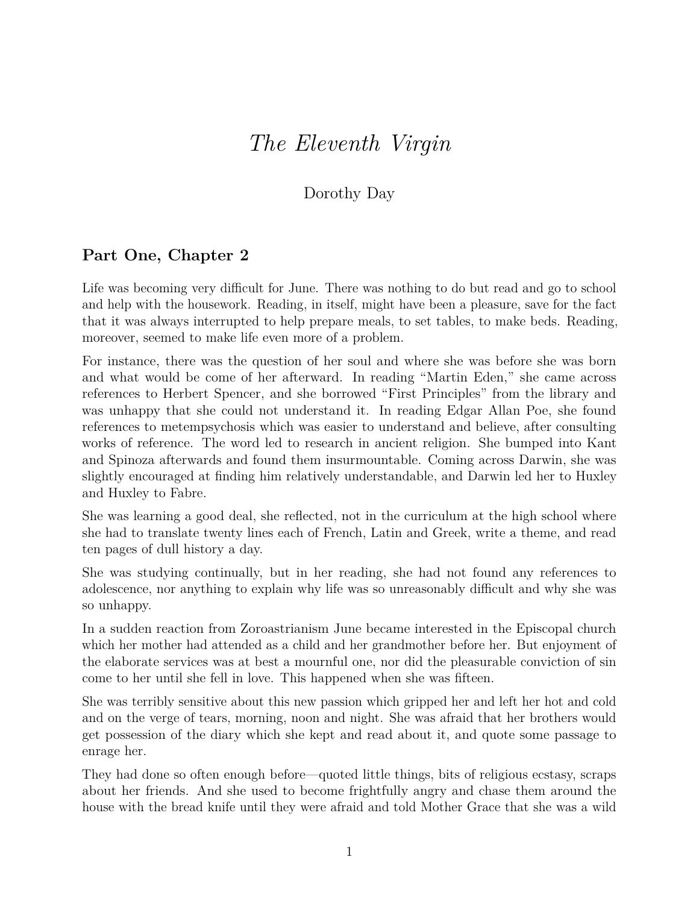## *The Eleventh Virgin*

## Dorothy Day

## **Part One, Chapter 2**

Life was becoming very difficult for June. There was nothing to do but read and go to school and help with the housework. Reading, in itself, might have been a pleasure, save for the fact that it was always interrupted to help prepare meals, to set tables, to make beds. Reading, moreover, seemed to make life even more of a problem.

For instance, there was the question of her soul and where she was before she was born and what would be come of her afterward. In reading "Martin Eden," she came across references to Herbert Spencer, and she borrowed "First Principles" from the library and was unhappy that she could not understand it. In reading Edgar Allan Poe, she found references to metempsychosis which was easier to understand and believe, after consulting works of reference. The word led to research in ancient religion. She bumped into Kant and Spinoza afterwards and found them insurmountable. Coming across Darwin, she was slightly encouraged at finding him relatively understandable, and Darwin led her to Huxley and Huxley to Fabre.

She was learning a good deal, she reflected, not in the curriculum at the high school where she had to translate twenty lines each of French, Latin and Greek, write a theme, and read ten pages of dull history a day.

She was studying continually, but in her reading, she had not found any references to adolescence, nor anything to explain why life was so unreasonably difficult and why she was so unhappy.

In a sudden reaction from Zoroastrianism June became interested in the Episcopal church which her mother had attended as a child and her grandmother before her. But enjoyment of the elaborate services was at best a mournful one, nor did the pleasurable conviction of sin come to her until she fell in love. This happened when she was fifteen.

She was terribly sensitive about this new passion which gripped her and left her hot and cold and on the verge of tears, morning, noon and night. She was afraid that her brothers would get possession of the diary which she kept and read about it, and quote some passage to enrage her.

They had done so often enough before—quoted little things, bits of religious ecstasy, scraps about her friends. And she used to become frightfully angry and chase them around the house with the bread knife until they were afraid and told Mother Grace that she was a wild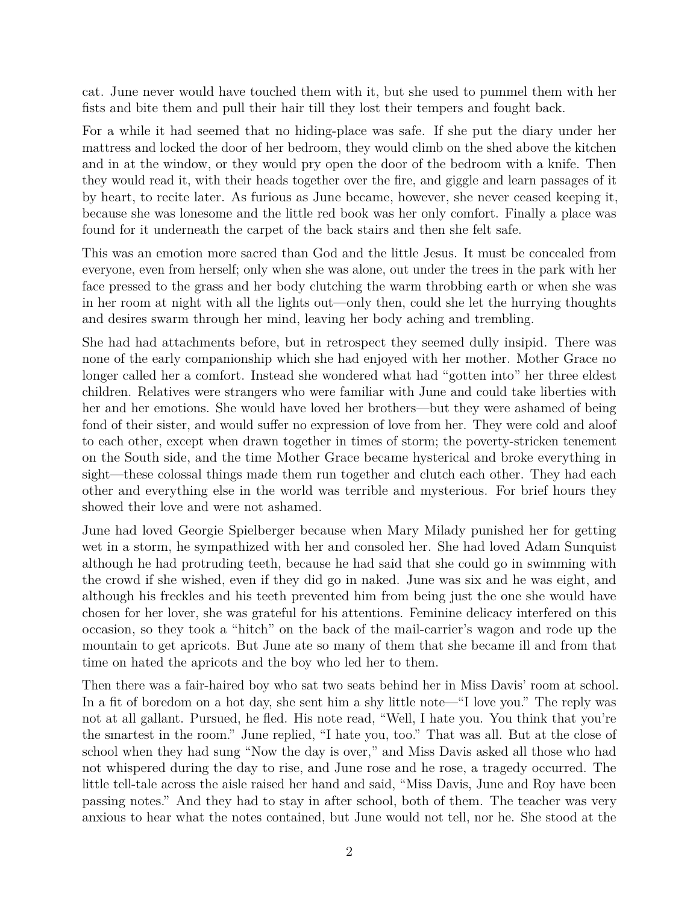cat. June never would have touched them with it, but she used to pummel them with her fists and bite them and pull their hair till they lost their tempers and fought back.

For a while it had seemed that no hiding-place was safe. If she put the diary under her mattress and locked the door of her bedroom, they would climb on the shed above the kitchen and in at the window, or they would pry open the door of the bedroom with a knife. Then they would read it, with their heads together over the fire, and giggle and learn passages of it by heart, to recite later. As furious as June became, however, she never ceased keeping it, because she was lonesome and the little red book was her only comfort. Finally a place was found for it underneath the carpet of the back stairs and then she felt safe.

This was an emotion more sacred than God and the little Jesus. It must be concealed from everyone, even from herself; only when she was alone, out under the trees in the park with her face pressed to the grass and her body clutching the warm throbbing earth or when she was in her room at night with all the lights out—only then, could she let the hurrying thoughts and desires swarm through her mind, leaving her body aching and trembling.

She had had attachments before, but in retrospect they seemed dully insipid. There was none of the early companionship which she had enjoyed with her mother. Mother Grace no longer called her a comfort. Instead she wondered what had "gotten into" her three eldest children. Relatives were strangers who were familiar with June and could take liberties with her and her emotions. She would have loved her brothers—but they were ashamed of being fond of their sister, and would suffer no expression of love from her. They were cold and aloof to each other, except when drawn together in times of storm; the poverty-stricken tenement on the South side, and the time Mother Grace became hysterical and broke everything in sight—these colossal things made them run together and clutch each other. They had each other and everything else in the world was terrible and mysterious. For brief hours they showed their love and were not ashamed.

June had loved Georgie Spielberger because when Mary Milady punished her for getting wet in a storm, he sympathized with her and consoled her. She had loved Adam Sunquist although he had protruding teeth, because he had said that she could go in swimming with the crowd if she wished, even if they did go in naked. June was six and he was eight, and although his freckles and his teeth prevented him from being just the one she would have chosen for her lover, she was grateful for his attentions. Feminine delicacy interfered on this occasion, so they took a "hitch" on the back of the mail-carrier's wagon and rode up the mountain to get apricots. But June ate so many of them that she became ill and from that time on hated the apricots and the boy who led her to them.

Then there was a fair-haired boy who sat two seats behind her in Miss Davis' room at school. In a fit of boredom on a hot day, she sent him a shy little note—"I love you." The reply was not at all gallant. Pursued, he fled. His note read, "Well, I hate you. You think that you're the smartest in the room." June replied, "I hate you, too." That was all. But at the close of school when they had sung "Now the day is over," and Miss Davis asked all those who had not whispered during the day to rise, and June rose and he rose, a tragedy occurred. The little tell-tale across the aisle raised her hand and said, "Miss Davis, June and Roy have been passing notes." And they had to stay in after school, both of them. The teacher was very anxious to hear what the notes contained, but June would not tell, nor he. She stood at the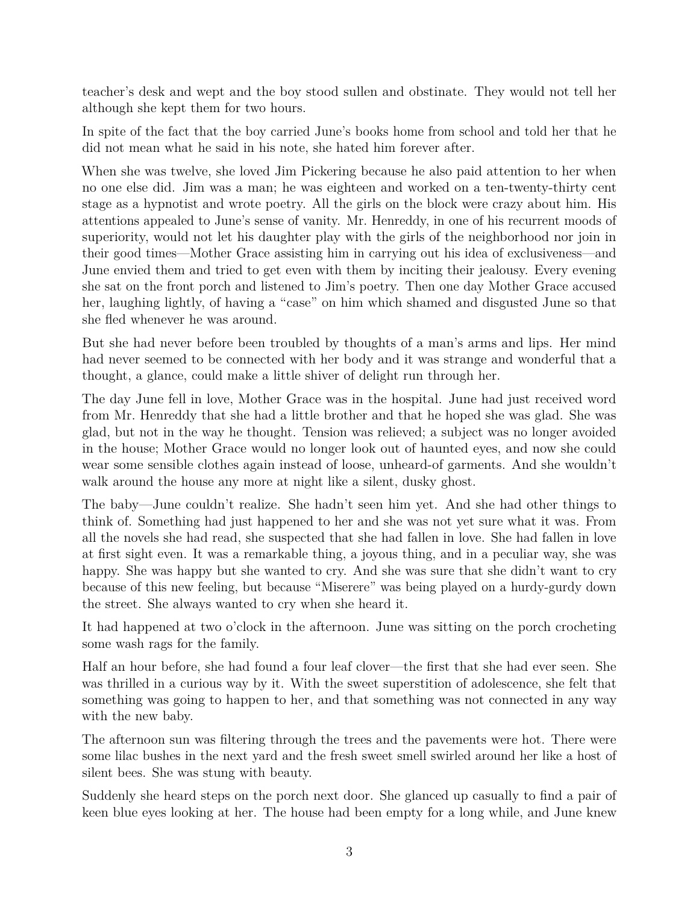teacher's desk and wept and the boy stood sullen and obstinate. They would not tell her although she kept them for two hours.

In spite of the fact that the boy carried June's books home from school and told her that he did not mean what he said in his note, she hated him forever after.

When she was twelve, she loved Jim Pickering because he also paid attention to her when no one else did. Jim was a man; he was eighteen and worked on a ten-twenty-thirty cent stage as a hypnotist and wrote poetry. All the girls on the block were crazy about him. His attentions appealed to June's sense of vanity. Mr. Henreddy, in one of his recurrent moods of superiority, would not let his daughter play with the girls of the neighborhood nor join in their good times—Mother Grace assisting him in carrying out his idea of exclusiveness—and June envied them and tried to get even with them by inciting their jealousy. Every evening she sat on the front porch and listened to Jim's poetry. Then one day Mother Grace accused her, laughing lightly, of having a "case" on him which shamed and disgusted June so that she fled whenever he was around.

But she had never before been troubled by thoughts of a man's arms and lips. Her mind had never seemed to be connected with her body and it was strange and wonderful that a thought, a glance, could make a little shiver of delight run through her.

The day June fell in love, Mother Grace was in the hospital. June had just received word from Mr. Henreddy that she had a little brother and that he hoped she was glad. She was glad, but not in the way he thought. Tension was relieved; a subject was no longer avoided in the house; Mother Grace would no longer look out of haunted eyes, and now she could wear some sensible clothes again instead of loose, unheard-of garments. And she wouldn't walk around the house any more at night like a silent, dusky ghost.

The baby—June couldn't realize. She hadn't seen him yet. And she had other things to think of. Something had just happened to her and she was not yet sure what it was. From all the novels she had read, she suspected that she had fallen in love. She had fallen in love at first sight even. It was a remarkable thing, a joyous thing, and in a peculiar way, she was happy. She was happy but she wanted to cry. And she was sure that she didn't want to cry because of this new feeling, but because "Miserere" was being played on a hurdy-gurdy down the street. She always wanted to cry when she heard it.

It had happened at two o'clock in the afternoon. June was sitting on the porch crocheting some wash rags for the family.

Half an hour before, she had found a four leaf clover—the first that she had ever seen. She was thrilled in a curious way by it. With the sweet superstition of adolescence, she felt that something was going to happen to her, and that something was not connected in any way with the new baby.

The afternoon sun was filtering through the trees and the pavements were hot. There were some lilac bushes in the next yard and the fresh sweet smell swirled around her like a host of silent bees. She was stung with beauty.

Suddenly she heard steps on the porch next door. She glanced up casually to find a pair of keen blue eyes looking at her. The house had been empty for a long while, and June knew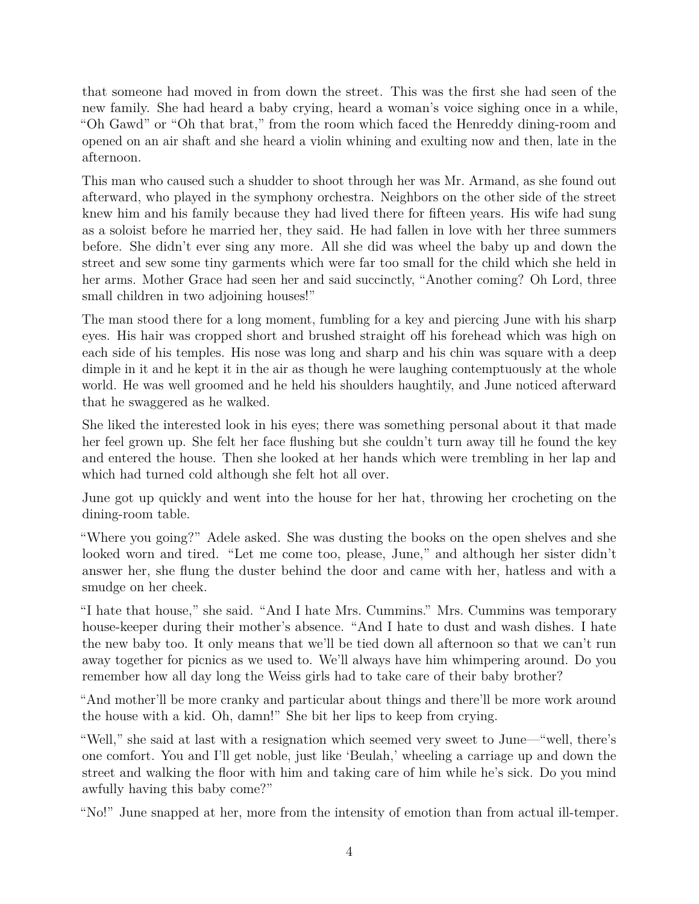that someone had moved in from down the street. This was the first she had seen of the new family. She had heard a baby crying, heard a woman's voice sighing once in a while, "Oh Gawd" or "Oh that brat," from the room which faced the Henreddy dining-room and opened on an air shaft and she heard a violin whining and exulting now and then, late in the afternoon.

This man who caused such a shudder to shoot through her was Mr. Armand, as she found out afterward, who played in the symphony orchestra. Neighbors on the other side of the street knew him and his family because they had lived there for fifteen years. His wife had sung as a soloist before he married her, they said. He had fallen in love with her three summers before. She didn't ever sing any more. All she did was wheel the baby up and down the street and sew some tiny garments which were far too small for the child which she held in her arms. Mother Grace had seen her and said succinctly, "Another coming? Oh Lord, three small children in two adjoining houses!"

The man stood there for a long moment, fumbling for a key and piercing June with his sharp eyes. His hair was cropped short and brushed straight off his forehead which was high on each side of his temples. His nose was long and sharp and his chin was square with a deep dimple in it and he kept it in the air as though he were laughing contemptuously at the whole world. He was well groomed and he held his shoulders haughtily, and June noticed afterward that he swaggered as he walked.

She liked the interested look in his eyes; there was something personal about it that made her feel grown up. She felt her face flushing but she couldn't turn away till he found the key and entered the house. Then she looked at her hands which were trembling in her lap and which had turned cold although she felt hot all over.

June got up quickly and went into the house for her hat, throwing her crocheting on the dining-room table.

"Where you going?" Adele asked. She was dusting the books on the open shelves and she looked worn and tired. "Let me come too, please, June," and although her sister didn't answer her, she flung the duster behind the door and came with her, hatless and with a smudge on her cheek.

"I hate that house," she said. "And I hate Mrs. Cummins." Mrs. Cummins was temporary house-keeper during their mother's absence. "And I hate to dust and wash dishes. I hate the new baby too. It only means that we'll be tied down all afternoon so that we can't run away together for picnics as we used to. We'll always have him whimpering around. Do you remember how all day long the Weiss girls had to take care of their baby brother?

"And mother'll be more cranky and particular about things and there'll be more work around the house with a kid. Oh, damn!" She bit her lips to keep from crying.

"Well," she said at last with a resignation which seemed very sweet to June—"well, there's one comfort. You and I'll get noble, just like 'Beulah,' wheeling a carriage up and down the street and walking the floor with him and taking care of him while he's sick. Do you mind awfully having this baby come?"

"No!" June snapped at her, more from the intensity of emotion than from actual ill-temper.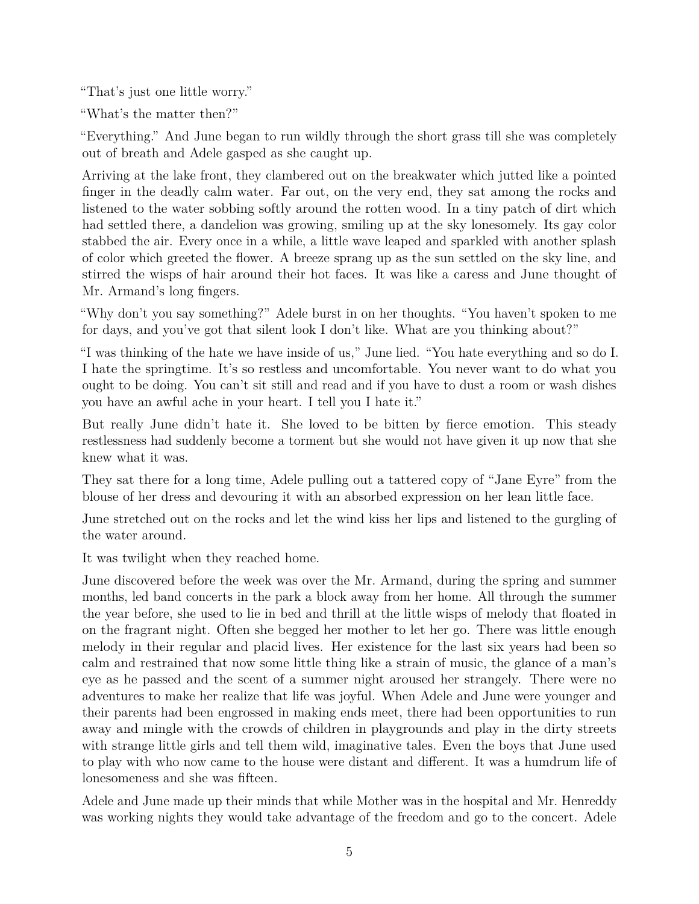"That's just one little worry."

"What's the matter then?"

"Everything." And June began to run wildly through the short grass till she was completely out of breath and Adele gasped as she caught up.

Arriving at the lake front, they clambered out on the breakwater which jutted like a pointed finger in the deadly calm water. Far out, on the very end, they sat among the rocks and listened to the water sobbing softly around the rotten wood. In a tiny patch of dirt which had settled there, a dandelion was growing, smiling up at the sky lonesomely. Its gay color stabbed the air. Every once in a while, a little wave leaped and sparkled with another splash of color which greeted the flower. A breeze sprang up as the sun settled on the sky line, and stirred the wisps of hair around their hot faces. It was like a caress and June thought of Mr. Armand's long fingers.

"Why don't you say something?" Adele burst in on her thoughts. "You haven't spoken to me for days, and you've got that silent look I don't like. What are you thinking about?"

"I was thinking of the hate we have inside of us," June lied. "You hate everything and so do I. I hate the springtime. It's so restless and uncomfortable. You never want to do what you ought to be doing. You can't sit still and read and if you have to dust a room or wash dishes you have an awful ache in your heart. I tell you I hate it."

But really June didn't hate it. She loved to be bitten by fierce emotion. This steady restlessness had suddenly become a torment but she would not have given it up now that she knew what it was.

They sat there for a long time, Adele pulling out a tattered copy of "Jane Eyre" from the blouse of her dress and devouring it with an absorbed expression on her lean little face.

June stretched out on the rocks and let the wind kiss her lips and listened to the gurgling of the water around.

It was twilight when they reached home.

June discovered before the week was over the Mr. Armand, during the spring and summer months, led band concerts in the park a block away from her home. All through the summer the year before, she used to lie in bed and thrill at the little wisps of melody that floated in on the fragrant night. Often she begged her mother to let her go. There was little enough melody in their regular and placid lives. Her existence for the last six years had been so calm and restrained that now some little thing like a strain of music, the glance of a man's eye as he passed and the scent of a summer night aroused her strangely. There were no adventures to make her realize that life was joyful. When Adele and June were younger and their parents had been engrossed in making ends meet, there had been opportunities to run away and mingle with the crowds of children in playgrounds and play in the dirty streets with strange little girls and tell them wild, imaginative tales. Even the boys that June used to play with who now came to the house were distant and different. It was a humdrum life of lonesomeness and she was fifteen.

Adele and June made up their minds that while Mother was in the hospital and Mr. Henreddy was working nights they would take advantage of the freedom and go to the concert. Adele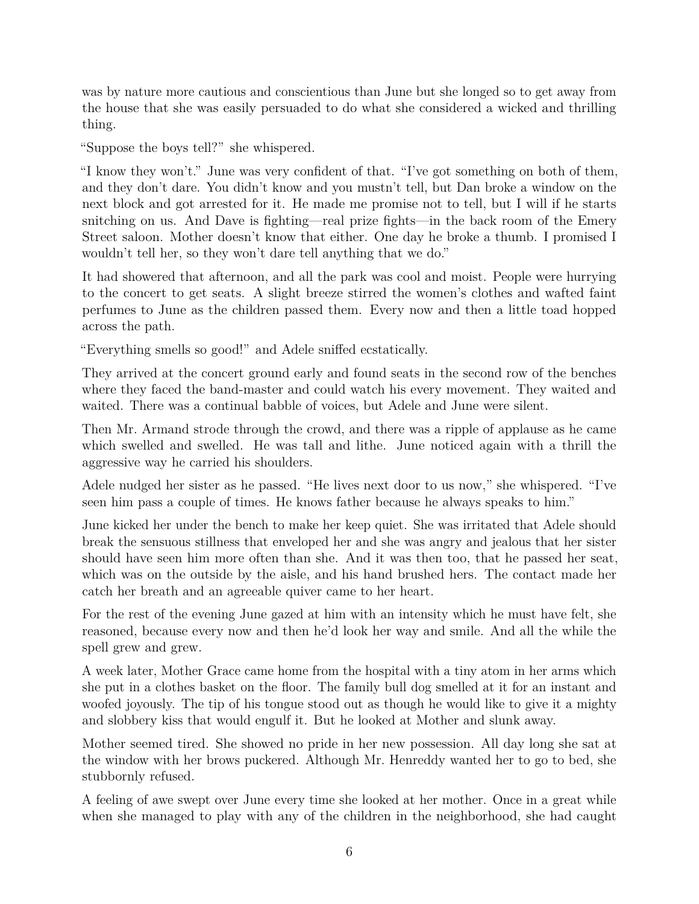was by nature more cautious and conscientious than June but she longed so to get away from the house that she was easily persuaded to do what she considered a wicked and thrilling thing.

"Suppose the boys tell?" she whispered.

"I know they won't." June was very confident of that. "I've got something on both of them, and they don't dare. You didn't know and you mustn't tell, but Dan broke a window on the next block and got arrested for it. He made me promise not to tell, but I will if he starts snitching on us. And Dave is fighting—real prize fights—in the back room of the Emery Street saloon. Mother doesn't know that either. One day he broke a thumb. I promised I wouldn't tell her, so they won't dare tell anything that we do."

It had showered that afternoon, and all the park was cool and moist. People were hurrying to the concert to get seats. A slight breeze stirred the women's clothes and wafted faint perfumes to June as the children passed them. Every now and then a little toad hopped across the path.

"Everything smells so good!" and Adele sniffed ecstatically.

They arrived at the concert ground early and found seats in the second row of the benches where they faced the band-master and could watch his every movement. They waited and waited. There was a continual babble of voices, but Adele and June were silent.

Then Mr. Armand strode through the crowd, and there was a ripple of applause as he came which swelled and swelled. He was tall and lithe. June noticed again with a thrill the aggressive way he carried his shoulders.

Adele nudged her sister as he passed. "He lives next door to us now," she whispered. "I've seen him pass a couple of times. He knows father because he always speaks to him."

June kicked her under the bench to make her keep quiet. She was irritated that Adele should break the sensuous stillness that enveloped her and she was angry and jealous that her sister should have seen him more often than she. And it was then too, that he passed her seat, which was on the outside by the aisle, and his hand brushed hers. The contact made her catch her breath and an agreeable quiver came to her heart.

For the rest of the evening June gazed at him with an intensity which he must have felt, she reasoned, because every now and then he'd look her way and smile. And all the while the spell grew and grew.

A week later, Mother Grace came home from the hospital with a tiny atom in her arms which she put in a clothes basket on the floor. The family bull dog smelled at it for an instant and woofed joyously. The tip of his tongue stood out as though he would like to give it a mighty and slobbery kiss that would engulf it. But he looked at Mother and slunk away.

Mother seemed tired. She showed no pride in her new possession. All day long she sat at the window with her brows puckered. Although Mr. Henreddy wanted her to go to bed, she stubbornly refused.

A feeling of awe swept over June every time she looked at her mother. Once in a great while when she managed to play with any of the children in the neighborhood, she had caught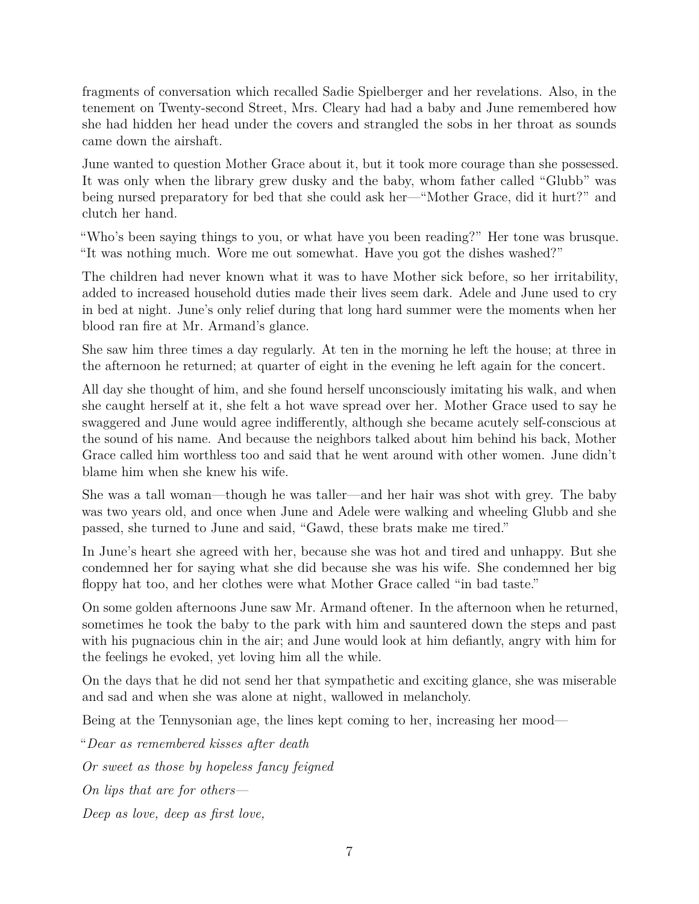fragments of conversation which recalled Sadie Spielberger and her revelations. Also, in the tenement on Twenty-second Street, Mrs. Cleary had had a baby and June remembered how she had hidden her head under the covers and strangled the sobs in her throat as sounds came down the airshaft.

June wanted to question Mother Grace about it, but it took more courage than she possessed. It was only when the library grew dusky and the baby, whom father called "Glubb" was being nursed preparatory for bed that she could ask her—"Mother Grace, did it hurt?" and clutch her hand.

"Who's been saying things to you, or what have you been reading?" Her tone was brusque. "It was nothing much. Wore me out somewhat. Have you got the dishes washed?"

The children had never known what it was to have Mother sick before, so her irritability, added to increased household duties made their lives seem dark. Adele and June used to cry in bed at night. June's only relief during that long hard summer were the moments when her blood ran fire at Mr. Armand's glance.

She saw him three times a day regularly. At ten in the morning he left the house; at three in the afternoon he returned; at quarter of eight in the evening he left again for the concert.

All day she thought of him, and she found herself unconsciously imitating his walk, and when she caught herself at it, she felt a hot wave spread over her. Mother Grace used to say he swaggered and June would agree indifferently, although she became acutely self-conscious at the sound of his name. And because the neighbors talked about him behind his back, Mother Grace called him worthless too and said that he went around with other women. June didn't blame him when she knew his wife.

She was a tall woman—though he was taller—and her hair was shot with grey. The baby was two years old, and once when June and Adele were walking and wheeling Glubb and she passed, she turned to June and said, "Gawd, these brats make me tired."

In June's heart she agreed with her, because she was hot and tired and unhappy. But she condemned her for saying what she did because she was his wife. She condemned her big floppy hat too, and her clothes were what Mother Grace called "in bad taste."

On some golden afternoons June saw Mr. Armand oftener. In the afternoon when he returned, sometimes he took the baby to the park with him and sauntered down the steps and past with his pugnacious chin in the air; and June would look at him defiantly, angry with him for the feelings he evoked, yet loving him all the while.

On the days that he did not send her that sympathetic and exciting glance, she was miserable and sad and when she was alone at night, wallowed in melancholy.

Being at the Tennysonian age, the lines kept coming to her, increasing her mood—

"*Dear as remembered kisses after death Or sweet as those by hopeless fancy feigned On lips that are for others— Deep as love, deep as first love,*